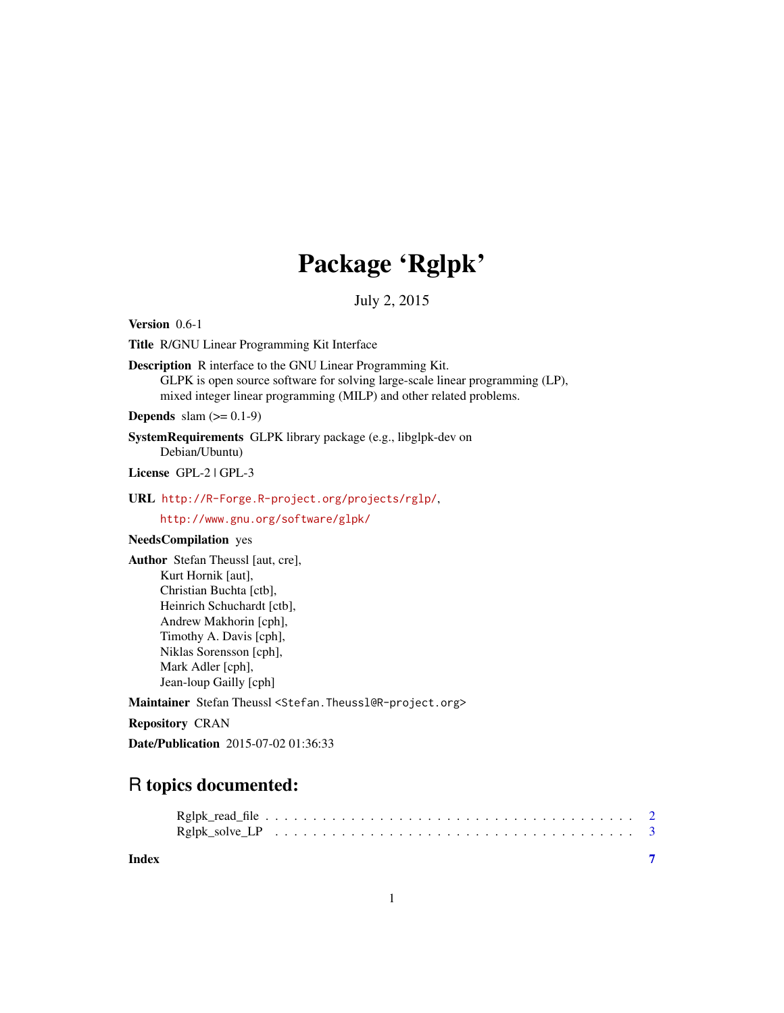## Package 'Rglpk'

July 2, 2015

<span id="page-0-0"></span>Version 0.6-1

Title R/GNU Linear Programming Kit Interface

Description R interface to the GNU Linear Programming Kit. GLPK is open source software for solving large-scale linear programming (LP), mixed integer linear programming (MILP) and other related problems.

**Depends** slam  $(>= 0.1-9)$ 

SystemRequirements GLPK library package (e.g., libglpk-dev on Debian/Ubuntu)

License GPL-2 | GPL-3

#### URL <http://R-Forge.R-project.org/projects/rglp/>,

<http://www.gnu.org/software/glpk/>

#### NeedsCompilation yes

Author Stefan Theussl [aut, cre], Kurt Hornik [aut], Christian Buchta [ctb], Heinrich Schuchardt [ctb], Andrew Makhorin [cph], Timothy A. Davis [cph], Niklas Sorensson [cph], Mark Adler [cph], Jean-loup Gailly [cph]

Maintainer Stefan Theussl <Stefan.Theussl@R-project.org>

Repository CRAN

Date/Publication 2015-07-02 01:36:33

### R topics documented:

**Index** [7](#page-6-0) **7**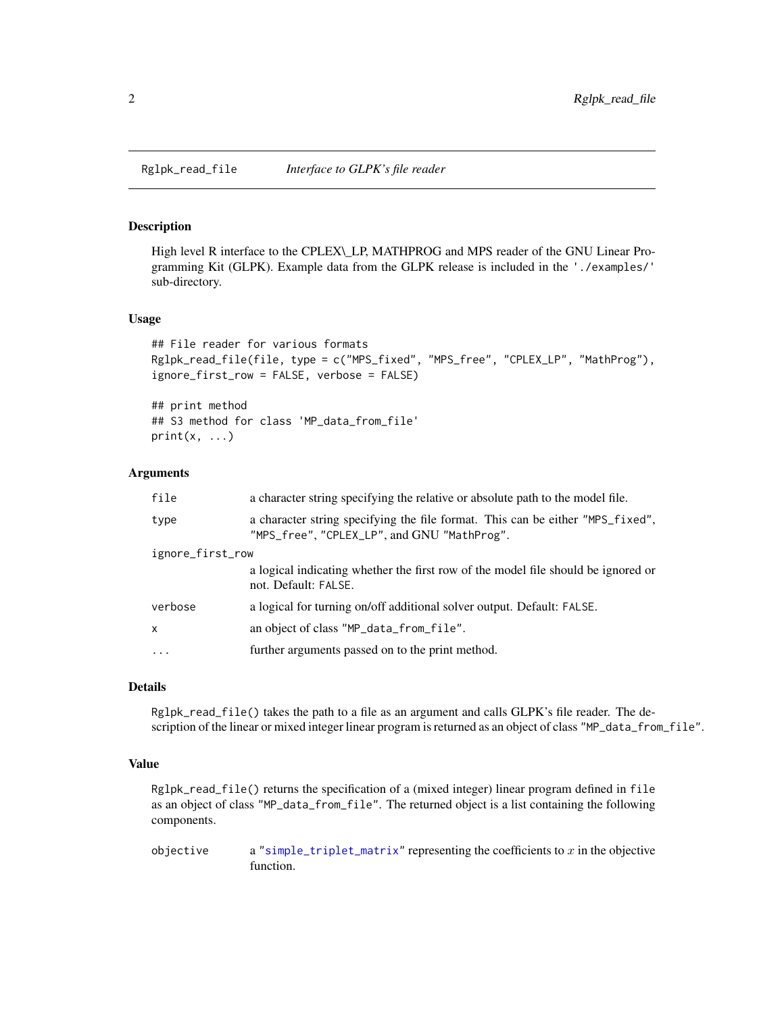<span id="page-1-0"></span>Rglpk\_read\_file *Interface to GLPK's file reader*

#### Description

High level R interface to the CPLEX\\_LP, MATHPROG and MPS reader of the GNU Linear Programming Kit (GLPK). Example data from the GLPK release is included in the './examples/' sub-directory.

#### Usage

```
## File reader for various formats
Rglpk_read_file(file, type = c("MPS_fixed", "MPS_free", "CPLEX_LP", "MathProg"),
ignore_first_row = FALSE, verbose = FALSE)
```
## print method ## S3 method for class 'MP\_data\_from\_file'  $print(x, \ldots)$ 

#### **Arguments**

| file             | a character string specifying the relative or absolute path to the model file.                                                |
|------------------|-------------------------------------------------------------------------------------------------------------------------------|
| type             | a character string specifying the file format. This can be either "MPS_fixed",<br>"MPS_free", "CPLEX_LP", and GNU "MathProg". |
| ignore_first_row |                                                                                                                               |
|                  | a logical indicating whether the first row of the model file should be ignored or<br>not. Default: FALSE.                     |
| verbose          | a logical for turning on/off additional solver output. Default: FALSE.                                                        |
| X                | an object of class "MP_data_from_file".                                                                                       |
| $\ddots$ .       | further arguments passed on to the print method.                                                                              |
|                  |                                                                                                                               |

#### **Details**

Rglpk\_read\_file() takes the path to a file as an argument and calls GLPK's file reader. The description of the linear or mixed integer linear program is returned as an object of class "MP\_data\_from\_file".

#### Value

Rglpk\_read\_file() returns the specification of a (mixed integer) linear program defined in file as an object of class "MP\_data\_from\_file". The returned object is a list containing the following components.

objective a ["simple\\_triplet\\_matrix"](#page-0-0) representing the coefficients to  $x$  in the objective function.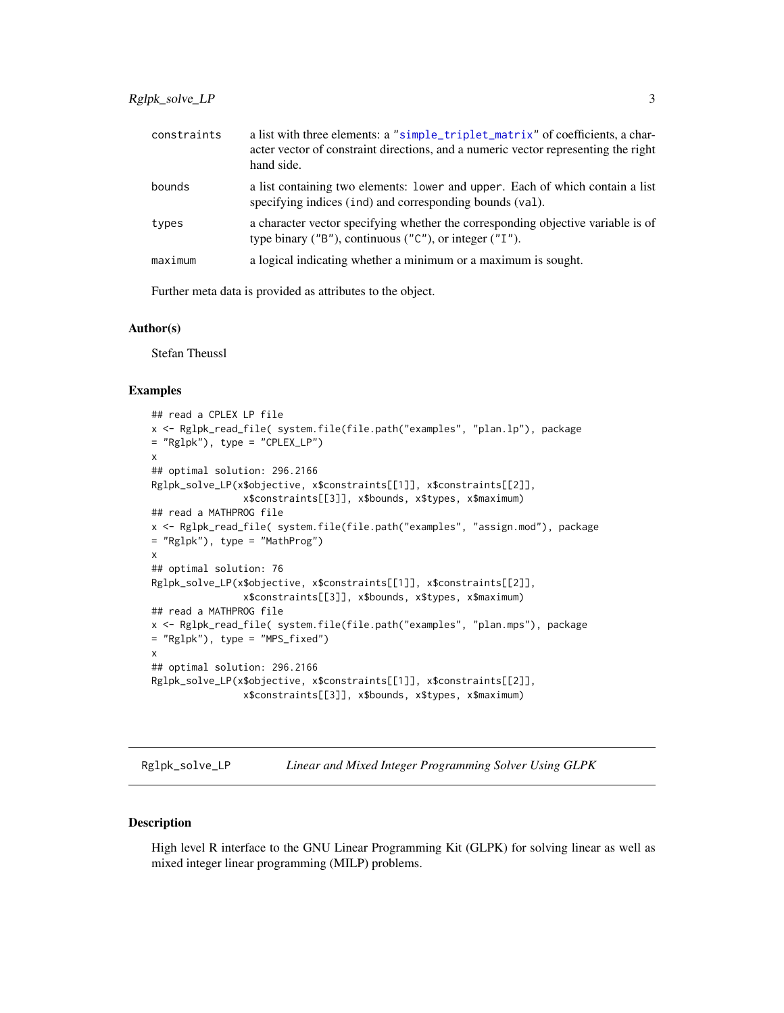<span id="page-2-0"></span>

| constraints | a list with three elements: a "simple_triplet_matrix" of coefficients, a char-<br>acter vector of constraint directions, and a numeric vector representing the right<br>hand side. |
|-------------|------------------------------------------------------------------------------------------------------------------------------------------------------------------------------------|
| bounds      | a list containing two elements: lower and upper. Each of which contain a list<br>specifying indices (ind) and corresponding bounds (val).                                          |
| types       | a character vector specifying whether the corresponding objective variable is of<br>type binary ( $"B"$ ), continuous ( $"C"$ ), or integer ( $"I"$ ).                             |
| maximum     | a logical indicating whether a minimum or a maximum is sought.                                                                                                                     |

Further meta data is provided as attributes to the object.

#### Author(s)

Stefan Theussl

#### Examples

```
## read a CPLEX LP file
x <- Rglpk_read_file( system.file(file.path("examples", "plan.lp"), package
= "Rglpk"), type = "CPLEX_LP")
x
## optimal solution: 296.2166
Rglpk_solve_LP(x$objective, x$constraints[[1]], x$constraints[[2]],
                x$constraints[[3]], x$bounds, x$types, x$maximum)
## read a MATHPROG file
x <- Rglpk_read_file( system.file(file.path("examples", "assign.mod"), package
= "Rglpk"), type = "MathProg")
x
## optimal solution: 76
Rglpk_solve_LP(x$objective, x$constraints[[1]], x$constraints[[2]],
                x$constraints[[3]], x$bounds, x$types, x$maximum)
## read a MATHPROG file
x <- Rglpk_read_file( system.file(file.path("examples", "plan.mps"), package
= "Rglpk"), type = "MPS_fixed")
x
## optimal solution: 296.2166
Rglpk_solve_LP(x$objective, x$constraints[[1]], x$constraints[[2]],
                x$constraints[[3]], x$bounds, x$types, x$maximum)
```
Rglpk\_solve\_LP *Linear and Mixed Integer Programming Solver Using GLPK*

#### **Description**

High level R interface to the GNU Linear Programming Kit (GLPK) for solving linear as well as mixed integer linear programming (MILP) problems.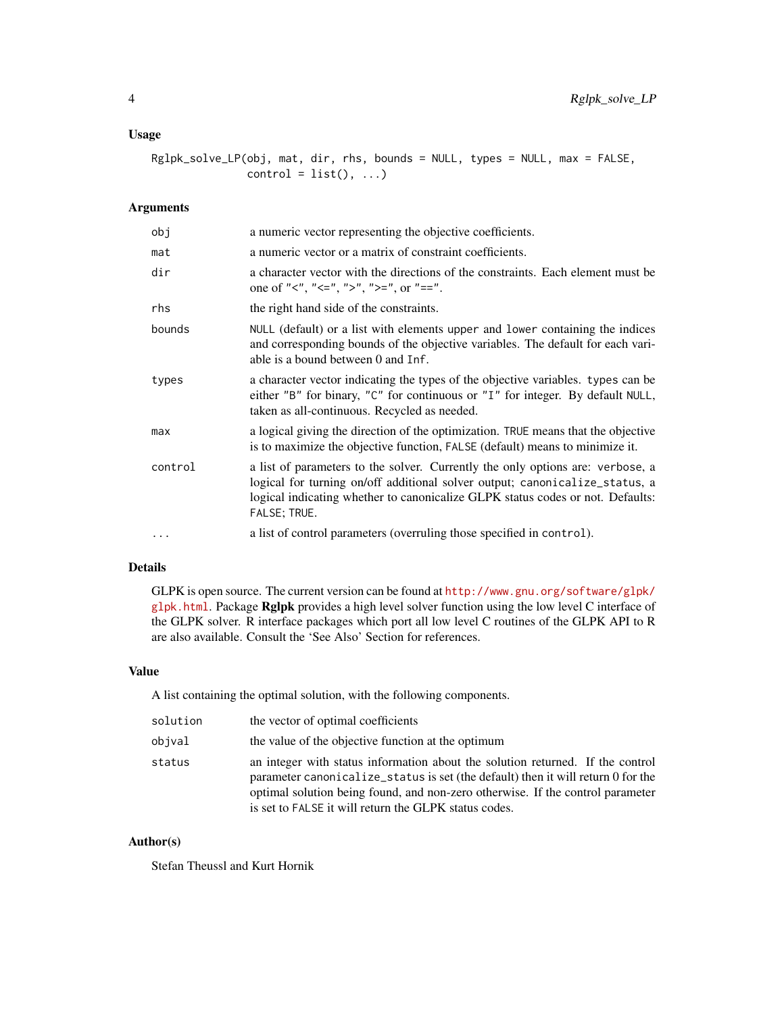#### Usage

Rglpk\_solve\_LP(obj, mat, dir, rhs, bounds = NULL, types = NULL, max = FALSE,  $control = list(), ...)$ 

#### Arguments

| obj      | a numeric vector representing the objective coefficients.                                                                                                                                                                                                       |
|----------|-----------------------------------------------------------------------------------------------------------------------------------------------------------------------------------------------------------------------------------------------------------------|
| mat      | a numeric vector or a matrix of constraint coefficients.                                                                                                                                                                                                        |
| dir      | a character vector with the directions of the constraints. Each element must be<br>one of "<", "<=", ">", ">=", or "==".                                                                                                                                        |
| rhs      | the right hand side of the constraints.                                                                                                                                                                                                                         |
| bounds   | NULL (default) or a list with elements upper and lower containing the indices<br>and corresponding bounds of the objective variables. The default for each vari-<br>able is a bound between 0 and Inf.                                                          |
| types    | a character vector indicating the types of the objective variables. types can be<br>either "B" for binary, "C" for continuous or "I" for integer. By default NULL,<br>taken as all-continuous. Recycled as needed.                                              |
| max      | a logical giving the direction of the optimization. TRUE means that the objective<br>is to maximize the objective function, FALSE (default) means to minimize it.                                                                                               |
| control  | a list of parameters to the solver. Currently the only options are: verbose, a<br>logical for turning on/off additional solver output; canonicalize_status, a<br>logical indicating whether to canonicalize GLPK status codes or not. Defaults:<br>FALSE; TRUE. |
| $\cdots$ | a list of control parameters (overruling those specified in control).                                                                                                                                                                                           |

#### Details

GLPK is open source. The current version can be found at [http://www.gnu.org/software/glpk/](http://www.gnu.org/software/glpk/glpk.html) [glpk.html](http://www.gnu.org/software/glpk/glpk.html). Package Rglpk provides a high level solver function using the low level C interface of the GLPK solver. R interface packages which port all low level C routines of the GLPK API to R are also available. Consult the 'See Also' Section for references.

#### Value

A list containing the optimal solution, with the following components.

| solution | the vector of optimal coefficients                                                                                                                                                                                                                                                                            |
|----------|---------------------------------------------------------------------------------------------------------------------------------------------------------------------------------------------------------------------------------------------------------------------------------------------------------------|
| obival   | the value of the objective function at the optimum                                                                                                                                                                                                                                                            |
| status   | an integer with status information about the solution returned. If the control<br>parameter canonicalize_status is set (the default) then it will return 0 for the<br>optimal solution being found, and non-zero otherwise. If the control parameter<br>is set to FALSE it will return the GLPK status codes. |

#### Author(s)

Stefan Theussl and Kurt Hornik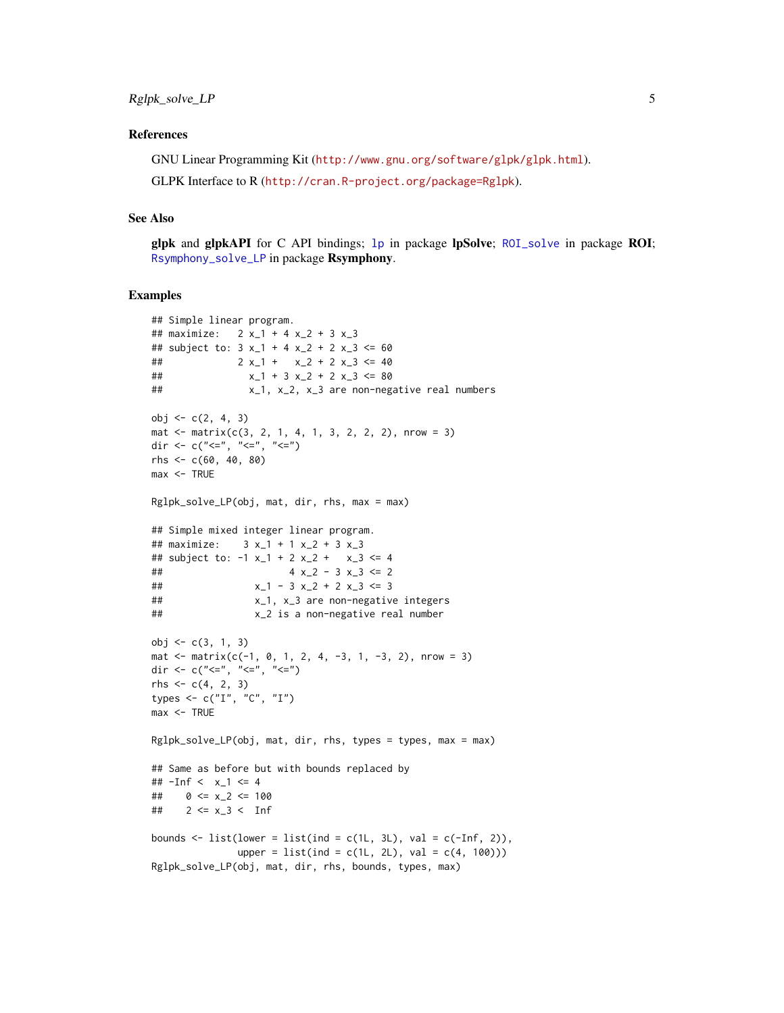#### <span id="page-4-0"></span>References

GNU Linear Programming Kit (<http://www.gnu.org/software/glpk/glpk.html>). GLPK Interface to R (<http://cran.R-project.org/package=Rglpk>).

#### See Also

glpk and glpkAPI for C API bindings; [lp](#page-0-0) in package lpSolve; [ROI\\_solve](#page-0-0) in package ROI; [Rsymphony\\_solve\\_LP](#page-0-0) in package Rsymphony.

#### Examples

```
## Simple linear program.
## maximize: 2 x_1 + 4 x_2 + 3 x_3
## subject to: 3x_{1} + 4x_{2} + 2x_{3} < = 60## 2 x_1 + x_2 + 2 x_3 \le 40## x_1 + 3 x_2 + 2 x_3 \le 80## x_1, x_2, x_3 are non-negative real numbers
obj <- c(2, 4, 3)
mat \le matrix(c(3, 2, 1, 4, 1, 3, 2, 2, 2), nrow = 3)
dir <- c("<=", "<=", "<=")
rhs <- c(60, 40, 80)
max < - TRUE
Rglpk_solve_LP(obj, mat, dir, rhs, max = max)
## Simple mixed integer linear program.
## maximize: 3 x_1 + 1 x_2 + 3 x_3
## subject to: -1 x_1 + 2 x_2 + x_3 \le 4## 4 x_2 - 3 x_3 <= 2
# x_1 - 3x_2 + 2x_3 \leq 3## x_1, x_3 are non-negative integers
## x_2 is a non-negative real number
obj <- c(3, 1, 3)
mat \le matrix(c(-1, 0, 1, 2, 4, -3, 1, -3, 2), nrow = 3)
dir <- c("<=", "<=", "<=")
rhs <- c(4, 2, 3)
types \leq \subset \subset \langle \langle \langle \langle \rangle \langle \langle \langle \rangle \langle \langle \langle \rangle \langle \langle \rangle \langle \langle \rangle \langle \langle \rangle \langle \rangle \langle \langle \rangle \langle \rangle \langle \rangle \langle \rangle \langle \rangle \langle \rangle \langle \rangle \langlemax <- TRUE
Rglpk_solve_LP(obj, mat, dir, rhs, types = types, max = max)
## Same as before but with bounds replaced by
## -Inf < x_1 <= 4
## 0 \le x_2 \le 100## 2 \le x_3 < \text{Inf}bounds \le list(lower = list(ind = c(1L, 3L), val = c(-Inf, 2)),
                 upper = list(ind = c(1L, 2L), val = c(4, 100))Rglpk_solve_LP(obj, mat, dir, rhs, bounds, types, max)
```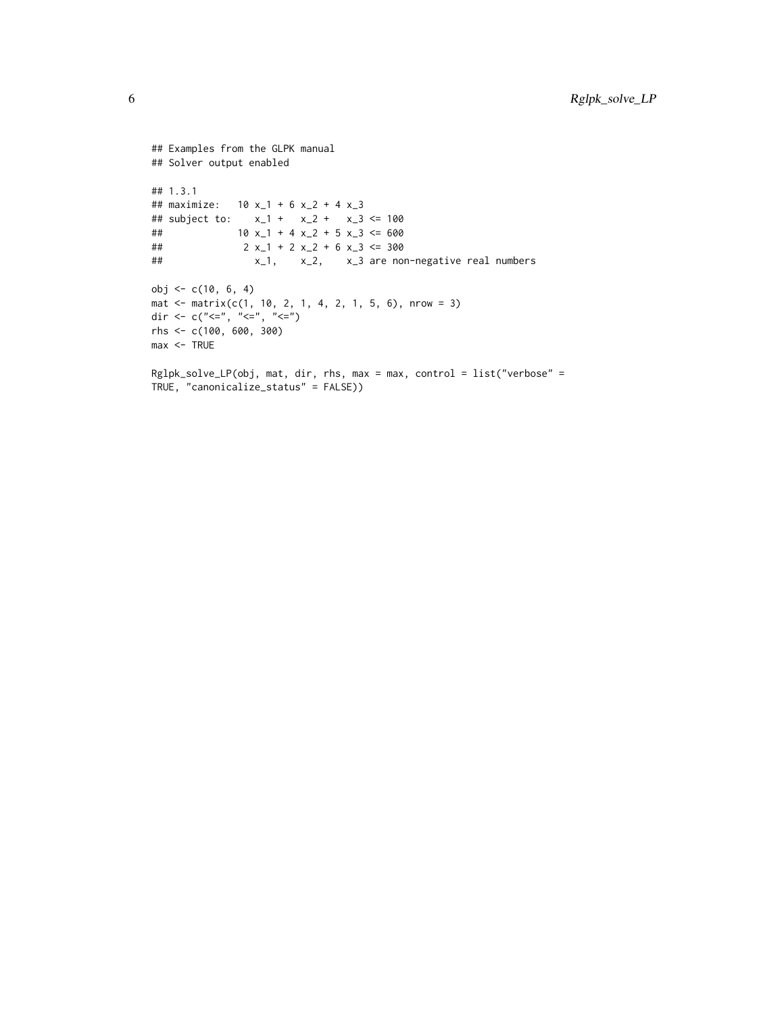```
## Examples from the GLPK manual
## Solver output enabled
## 1.3.1
## maximize: 10 x_1 + 6 x_2 + 4 x_3
## subject to: x_1 + x_2 + x_3 <= 100
## 10 x_1 + 4 x_2 + 5 x_3 \le 600## 2 x_1 + 2 x_2 + 6 x_3 \le 300## x_1, x_2, x_3 are non-negative real numbers
obj <- c(10, 6, 4)
mat <- matrix(c(1, 10, 2, 1, 4, 2, 1, 5, 6), nrow = 3)
dir <- c("<=", "<=", "<=")
rhs <- c(100, 600, 300)
max <- TRUE
Rglpk_solve_LP(obj, mat, dir, rhs, max = max, control = list("verbose" =
TRUE, "canonicalize_status" = FALSE))
```